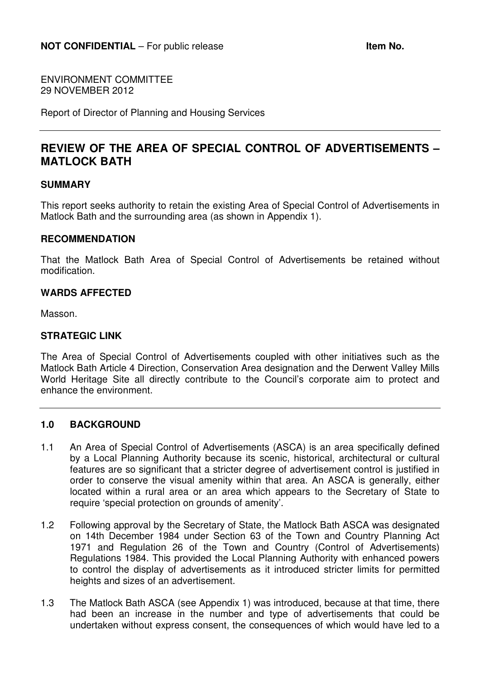ENVIRONMENT COMMITTEE 29 NOVEMBER 2012

Report of Director of Planning and Housing Services

# **REVIEW OF THE AREA OF SPECIAL CONTROL OF ADVERTISEMENTS – MATLOCK BATH**

### **SUMMARY**

This report seeks authority to retain the existing Area of Special Control of Advertisements in Matlock Bath and the surrounding area (as shown in Appendix 1).

### **RECOMMENDATION**

That the Matlock Bath Area of Special Control of Advertisements be retained without modification.

### **WARDS AFFECTED**

Masson.

### **STRATEGIC LINK**

The Area of Special Control of Advertisements coupled with other initiatives such as the Matlock Bath Article 4 Direction, Conservation Area designation and the Derwent Valley Mills World Heritage Site all directly contribute to the Council's corporate aim to protect and enhance the environment.

#### **1.0 BACKGROUND**

- 1.1 An Area of Special Control of Advertisements (ASCA) is an area specifically defined by a Local Planning Authority because its scenic, historical, architectural or cultural features are so significant that a stricter degree of advertisement control is justified in order to conserve the visual amenity within that area. An ASCA is generally, either located within a rural area or an area which appears to the Secretary of State to require 'special protection on grounds of amenity'.
- 1.2 Following approval by the Secretary of State, the Matlock Bath ASCA was designated on 14th December 1984 under Section 63 of the Town and Country Planning Act 1971 and Regulation 26 of the Town and Country (Control of Advertisements) Regulations 1984. This provided the Local Planning Authority with enhanced powers to control the display of advertisements as it introduced stricter limits for permitted heights and sizes of an advertisement.
- 1.3 The Matlock Bath ASCA (see Appendix 1) was introduced, because at that time, there had been an increase in the number and type of advertisements that could be undertaken without express consent, the consequences of which would have led to a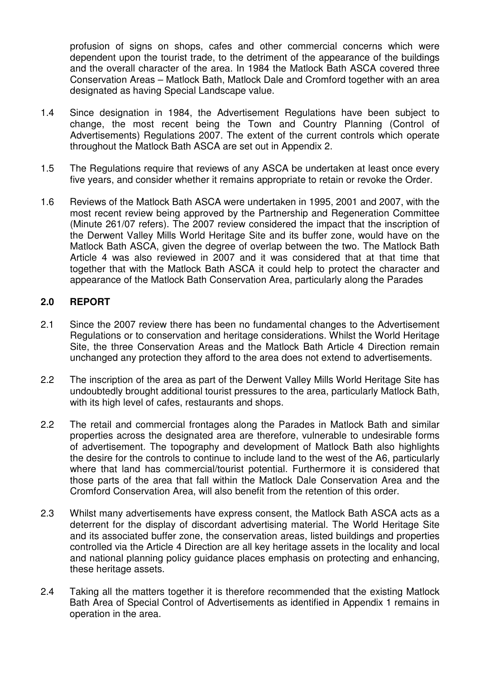profusion of signs on shops, cafes and other commercial concerns which were dependent upon the tourist trade, to the detriment of the appearance of the buildings and the overall character of the area. In 1984 the Matlock Bath ASCA covered three Conservation Areas – Matlock Bath, Matlock Dale and Cromford together with an area designated as having Special Landscape value.

- 1.4 Since designation in 1984, the Advertisement Regulations have been subject to change, the most recent being the Town and Country Planning (Control of Advertisements) Regulations 2007. The extent of the current controls which operate throughout the Matlock Bath ASCA are set out in Appendix 2.
- 1.5 The Regulations require that reviews of any ASCA be undertaken at least once every five years, and consider whether it remains appropriate to retain or revoke the Order.
- 1.6 Reviews of the Matlock Bath ASCA were undertaken in 1995, 2001 and 2007, with the most recent review being approved by the Partnership and Regeneration Committee (Minute 261/07 refers). The 2007 review considered the impact that the inscription of the Derwent Valley Mills World Heritage Site and its buffer zone, would have on the Matlock Bath ASCA, given the degree of overlap between the two. The Matlock Bath Article 4 was also reviewed in 2007 and it was considered that at that time that together that with the Matlock Bath ASCA it could help to protect the character and appearance of the Matlock Bath Conservation Area, particularly along the Parades

## **2.0 REPORT**

- 2.1 Since the 2007 review there has been no fundamental changes to the Advertisement Regulations or to conservation and heritage considerations. Whilst the World Heritage Site, the three Conservation Areas and the Matlock Bath Article 4 Direction remain unchanged any protection they afford to the area does not extend to advertisements.
- 2.2 The inscription of the area as part of the Derwent Valley Mills World Heritage Site has undoubtedly brought additional tourist pressures to the area, particularly Matlock Bath, with its high level of cafes, restaurants and shops.
- 2.2 The retail and commercial frontages along the Parades in Matlock Bath and similar properties across the designated area are therefore, vulnerable to undesirable forms of advertisement. The topography and development of Matlock Bath also highlights the desire for the controls to continue to include land to the west of the A6, particularly where that land has commercial/tourist potential. Furthermore it is considered that those parts of the area that fall within the Matlock Dale Conservation Area and the Cromford Conservation Area, will also benefit from the retention of this order.
- 2.3 Whilst many advertisements have express consent, the Matlock Bath ASCA acts as a deterrent for the display of discordant advertising material. The World Heritage Site and its associated buffer zone, the conservation areas, listed buildings and properties controlled via the Article 4 Direction are all key heritage assets in the locality and local and national planning policy guidance places emphasis on protecting and enhancing, these heritage assets.
- 2.4 Taking all the matters together it is therefore recommended that the existing Matlock Bath Area of Special Control of Advertisements as identified in Appendix 1 remains in operation in the area.